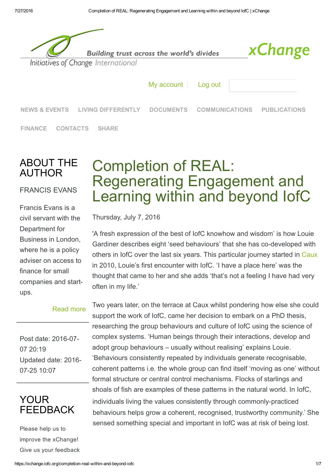

## ABOUT THE AUTHOR

### [FRANCIS EVANS](https://xchange.iofc.org/francis-evans)

Francis Evans is a civil servant with the Department for Business in London, where he is a policy adviser on access to finance for small companies and startups.

#### [Read more](https://xchange.iofc.org/francis-evans)

Post date: 2016-07-07 20:19 Updated date: 2016 07-25 10:07



Please help us to improve the xChange! Give us your feedback

# Completion of REAL: Regenerating Engagement and Learning within and beyond IofC

Thursday, July 7, 2016

'A fresh expression of the best of IofC knowhow and wisdom' is how Louie Gardiner describes eight 'seed behaviours' that she has co-developed with others in IofC over the last six years. This particular journey started in Caux in 2010, Louie's first encounter with IofC. 'I have a place here' was the thought that came to her and she adds 'that's not a feeling I have had very often in my life.'

Two years later, on the terrace at Caux whilst pondering how else she could support the work of IofC, came her decision to embark on a PhD thesi[s,](http://www.caux.ch/) researching the group behaviours and culture of IofC using the science of complex systems. 'Human beings through their interactions, develop and adopt group behaviours – usually without realising' explains Louie. 'Behaviours consistently repeated by individuals generate recognisable, coherent patterns i.e. the whole group can find itself 'moving as one' without formal structure or central control mechanisms. Flocks of starlings and shoals of fish are examples of these patterns in the natural world. In IofC, individuals living the values consistently through commonly-practiced behaviours helps grow a coherent, recognised, trustworthy community.' She sensed something special and important in IofC was at risk of being lost.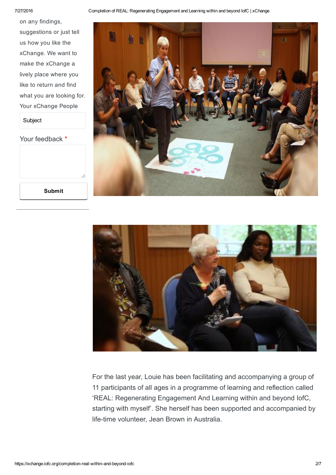#### 7/27/2016 Completion of REAL: Regenerating Engagement and Learning within and beyond IofC | xChange

on any findings, suggestions or just tell us how you like the xChange. We want to make the xChange a lively place where you like to return and find what you are looking for. Your xChange People

Subject

Your feedback \*

Submit







For the last year, Louie has been facilitating and accompanying a group of 11 participants of all ages in a programme of learning and reflection called 'REAL: Regenerating Engagement And Learning within and beyond IofC, starting with myself'. She herself has been supported and accompanied by life-time volunteer, Jean Brown in Australia.